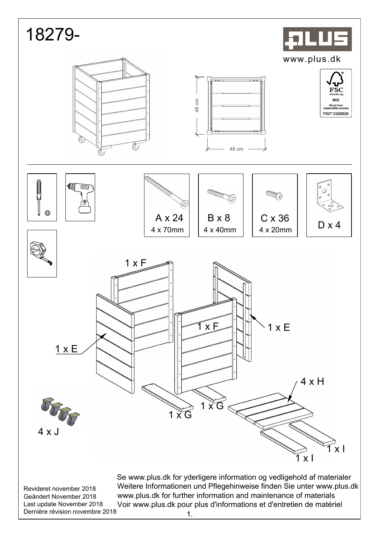| 18279-                                                                                                            |                                                                                                                                                                                                                                                                                                   |                                                                     |                                                                                                                                     |  |
|-------------------------------------------------------------------------------------------------------------------|---------------------------------------------------------------------------------------------------------------------------------------------------------------------------------------------------------------------------------------------------------------------------------------------------|---------------------------------------------------------------------|-------------------------------------------------------------------------------------------------------------------------------------|--|
|                                                                                                                   | $F - 1$<br>48 cm                                                                                                                                                                                                                                                                                  | 48 cm                                                               | www.plus.dk<br>٦r<br>$\mathop{\mathrm{FSC}}\limits_{\text{www.fsc.org}}$<br>MIX<br>Wood from<br>responsible sources<br>FSC® C028526 |  |
| 但<br>AKKU<br>≫∖<br>∖⊗<br>$\circledS$                                                                              | <b>«THE CHECKER</b><br><b>CONTROLLER</b><br>旋<br>A x 24<br>4 x 70mm                                                                                                                                                                                                                               | <b>AAA</b><br>$C \times 36$<br>$B \times 8$<br>4 x 40mm<br>4 x 20mm | Ø<br>O<br>Ø<br>$\circ$<br>$\bigcirc$<br>$D \times 4$                                                                                |  |
| $1 \times E$<br>$4 \times J$                                                                                      | $1 \times F$<br>1xE<br>$1 \times G$<br>$X$ G                                                                                                                                                                                                                                                      | $x \nE$<br>1                                                        | 4 x H<br>x <sub>l</sub><br>$\mathsf{x}$                                                                                             |  |
| Revideret november 2018<br>Geändert November 2018<br>Last update November 2018<br>Dernière révision novembre 2018 | Se www.plus.dk for yderligere information og vedligehold af materialer<br>Weitere Informationen und Pflegehinweise finden Sie unter www.plus.dk<br>www.plus.dk for further information and maintenance of materials<br>Voir www.plus.dk pour plus d'informations et d'entretien de matériel<br>1. |                                                                     |                                                                                                                                     |  |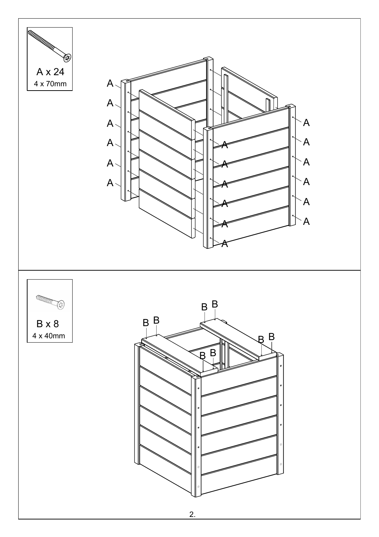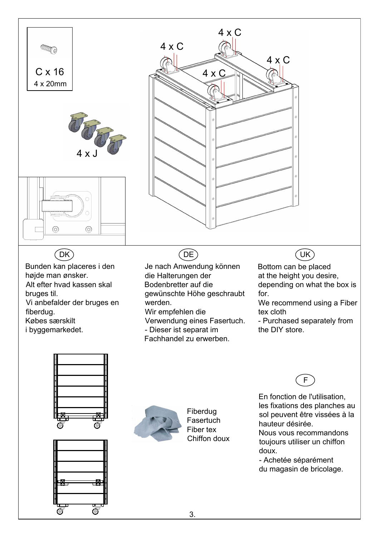